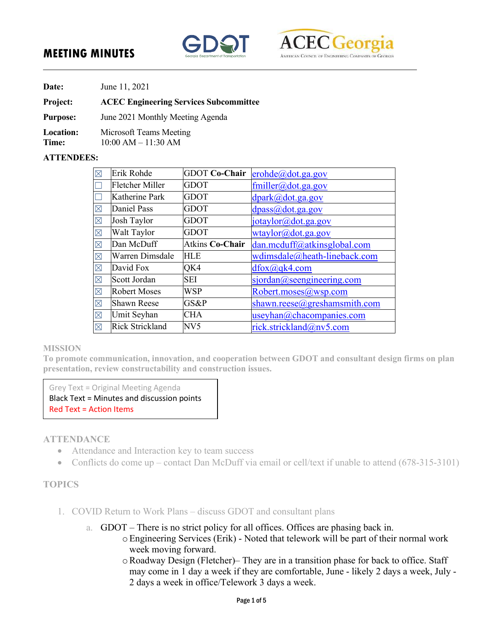# **MEETING MINUTES**





**Date:** June 11, 2021

### **Project: ACEC Engineering Services Subcommittee**

**Purpose:** June 2021 Monthly Meeting Agenda

**Location:** Microsoft Teams Meeting

**Time:** 10:00 AM – 11:30 AM

### **ATTENDEES:**

| $\boxtimes$ | Erik Rohde             | <b>GDOT Co-Chair</b> | erohde@dot.ga.gov            |
|-------------|------------------------|----------------------|------------------------------|
|             | <b>Fletcher Miller</b> | <b>GDOT</b>          | fmiller@dot.ga.gov           |
|             | Katherine Park         | <b>GDOT</b>          | dpark@dot.ga.gov             |
| $\boxtimes$ | Daniel Pass            | <b>GDOT</b>          | dpass@dot.ga.gov             |
| $\boxtimes$ | Josh Taylor            | <b>GDOT</b>          | jotaylor@dot.ga.gov          |
| $\boxtimes$ | Walt Taylor            | <b>GDOT</b>          | wtaylor@dot.ga.gov           |
| $\boxtimes$ | Dan McDuff             | Atkins Co-Chair      | dan.mcduff@atkinsglobal.com  |
| $\boxtimes$ | Warren Dimsdale        | <b>HLE</b>           | wdimsdale@heath-lineback.com |
| $\boxtimes$ | David Fox              | QK4                  | $d$ fox $(a)$ qk4.com        |
| $\boxtimes$ | Scott Jordan           | SEI                  | sjordan@seengineering.com    |
| $\boxtimes$ | <b>Robert Moses</b>    | WSP                  | Robert.moses@wsp.com         |
| $\boxtimes$ | <b>Shawn Reese</b>     | GS&P                 | shawn.reese@greshamsmith.com |
| $\boxtimes$ | Umit Seyhan            | CHA                  | useyhan@chacompanies.com     |
| $\boxtimes$ | Rick Strickland        | NV5                  | rick.strickland@nv5.com      |

#### **MISSION**

**To promote communication, innovation, and cooperation between GDOT and consultant design firms on plan presentation, review constructability and construction issues.** 

Grey Text = Original Meeting Agenda Black Text = Minutes and discussion points Red Text = Action Items

### **ATTENDANCE**

- Attendance and Interaction key to team success
- Conflicts do come up contact Dan McDuff via email or cell/text if unable to attend  $(678-315-3101)$

### **TOPICS**

- 1. COVID Return to Work Plans discuss GDOT and consultant plans
	- a. GDOT There is no strict policy for all offices. Offices are phasing back in.
		- oEngineering Services (Erik) Noted that telework will be part of their normal work week moving forward.
			- oRoadway Design (Fletcher)– They are in a transition phase for back to office. Staff may come in 1 day a week if they are comfortable, June - likely 2 days a week, July - 2 days a week in office/Telework 3 days a week.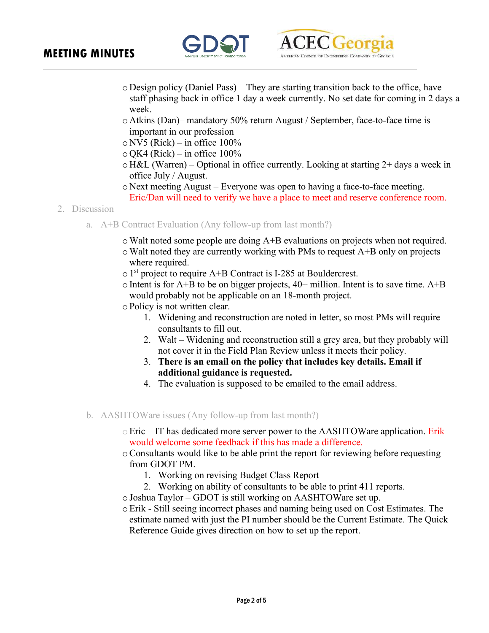## **MEETING MINUTES**





- o Design policy (Daniel Pass) They are starting transition back to the office, have staff phasing back in office 1 day a week currently. No set date for coming in 2 days a week.
- o Atkins (Dan)– mandatory 50% return August / September, face-to-face time is important in our profession
- $\circ$  NV5 (Rick) in office 100%
- $\circ$  QK4 (Rick) in office 100%
- o H&L (Warren) Optional in office currently. Looking at starting 2+ days a week in office July / August.
- o Next meeting August Everyone was open to having a face-to-face meeting. Eric/Dan will need to verify we have a place to meet and reserve conference room.
- 2. Discussion
	- a. A+B Contract Evaluation (Any follow-up from last month?)
		- oWalt noted some people are doing A+B evaluations on projects when not required.
		- $\circ$  Walt noted they are currently working with PMs to request A+B only on projects where required.
		- $\circ$  1<sup>st</sup> project to require A+B Contract is I-285 at Bouldercrest.
		- $\circ$  Intent is for A+B to be on bigger projects, 40+ million. Intent is to save time. A+B would probably not be applicable on an 18-month project.
		- oPolicy is not written clear.
			- 1. Widening and reconstruction are noted in letter, so most PMs will require consultants to fill out.
			- 2. Walt Widening and reconstruction still a grey area, but they probably will not cover it in the Field Plan Review unless it meets their policy.
			- 3. **There is an email on the policy that includes key details. Email if additional guidance is requested.**
			- 4. The evaluation is supposed to be emailed to the email address.
	- b. AASHTOWare issues (Any follow-up from last month?)
		- $\circ$  Eric IT has dedicated more server power to the AASHTOWare application. Erik would welcome some feedback if this has made a difference.
		- oConsultants would like to be able print the report for reviewing before requesting from GDOT PM.
			- 1. Working on revising Budget Class Report
			- 2. Working on ability of consultants to be able to print 411 reports.
		- oJoshua Taylor GDOT is still working on AASHTOWare set up.
		- oErik Still seeing incorrect phases and naming being used on Cost Estimates. The estimate named with just the PI number should be the Current Estimate. The Quick Reference Guide gives direction on how to set up the report.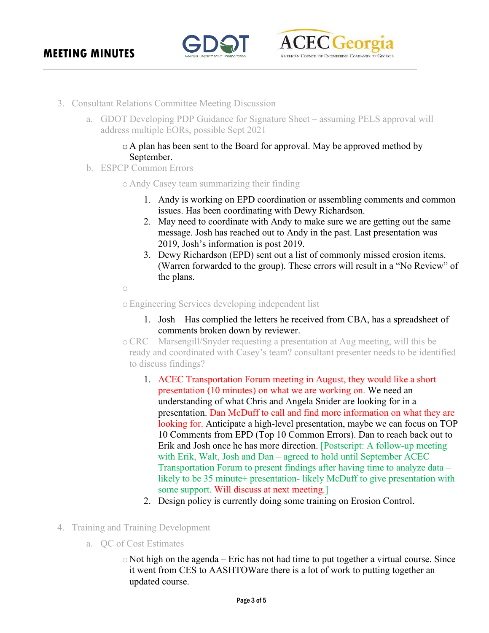



- 3. Consultant Relations Committee Meeting Discussion
	- a. GDOT Developing PDP Guidance for Signature Sheet assuming PELS approval will address multiple EORs, possible Sept 2021

### o A plan has been sent to the Board for approval. May be approved method by September.

b. ESPCP Common Errors

### o Andy Casey team summarizing their finding

- 1. Andy is working on EPD coordination or assembling comments and common issues. Has been coordinating with Dewy Richardson.
- 2. May need to coordinate with Andy to make sure we are getting out the same message. Josh has reached out to Andy in the past. Last presentation was 2019, Josh's information is post 2019.
- 3. Dewy Richardson (EPD) sent out a list of commonly missed erosion items. (Warren forwarded to the group). These errors will result in a "No Review" of the plans.

 $\bigcap$ 

oEngineering Services developing independent list

- 1. Josh Has complied the letters he received from CBA, has a spreadsheet of comments broken down by reviewer.
- oCRC Marsengill/Snyder requesting a presentation at Aug meeting, will this be ready and coordinated with Casey's team? consultant presenter needs to be identified to discuss findings?
	- 1. ACEC Transportation Forum meeting in August, they would like a short presentation (10 minutes) on what we are working on. We need an understanding of what Chris and Angela Snider are looking for in a presentation. Dan McDuff to call and find more information on what they are looking for. Anticipate a high-level presentation, maybe we can focus on TOP 10 Comments from EPD (Top 10 Common Errors). Dan to reach back out to Erik and Josh once he has more direction. [Postscript: A follow-up meeting with Erik, Walt, Josh and Dan – agreed to hold until September ACEC Transportation Forum to present findings after having time to analyze data – likely to be 35 minute+ presentation- likely McDuff to give presentation with some support. Will discuss at next meeting.]
	- 2. Design policy is currently doing some training on Erosion Control.
- 4. Training and Training Development
	- a. QC of Cost Estimates
		- $\circ$  Not high on the agenda Eric has not had time to put together a virtual course. Since it went from CES to AASHTOWare there is a lot of work to putting together an updated course.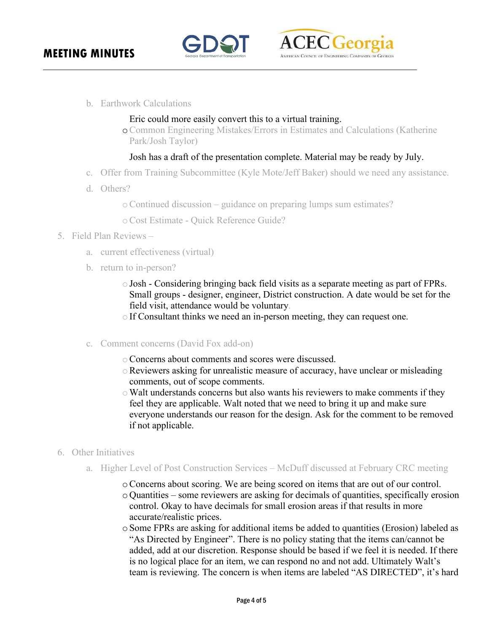



b. Earthwork Calculations

### Eric could more easily convert this to a virtual training.

oCommon Engineering Mistakes/Errors in Estimates and Calculations (Katherine Park/Josh Taylor)

### Josh has a draft of the presentation complete. Material may be ready by July.

- c. Offer from Training Subcommittee (Kyle Mote/Jeff Baker) should we need any assistance.
- d. Others?

oContinued discussion – guidance on preparing lumps sum estimates?

oCost Estimate - Quick Reference Guide?

- 5. Field Plan Reviews
	- a. current effectiveness (virtual)
	- b. return to in-person?
		- $\circ$  Josh Considering bringing back field visits as a separate meeting as part of FPRs. Small groups - designer, engineer, District construction. A date would be set for the field visit, attendance would be voluntary.
		- If Consultant thinks we need an in-person meeting, they can request one.
	- c. Comment concerns (David Fox add-on)
		- oConcerns about comments and scores were discussed.
		- oReviewers asking for unrealistic measure of accuracy, have unclear or misleading comments, out of scope comments.
		- $\circ$  Walt understands concerns but also wants his reviewers to make comments if they feel they are applicable. Walt noted that we need to bring it up and make sure everyone understands our reason for the design. Ask for the comment to be removed if not applicable.
- 6. Other Initiatives
	- a. Higher Level of Post Construction Services McDuff discussed at February CRC meeting
		- oConcerns about scoring. We are being scored on items that are out of our control. o Quantities – some reviewers are asking for decimals of quantities, specifically erosion control. Okay to have decimals for small erosion areas if that results in more accurate/realistic prices.
		- oSome FPRs are asking for additional items be added to quantities (Erosion) labeled as "As Directed by Engineer". There is no policy stating that the items can/cannot be added, add at our discretion. Response should be based if we feel it is needed. If there is no logical place for an item, we can respond no and not add. Ultimately Walt's team is reviewing. The concern is when items are labeled "AS DIRECTED", it's hard